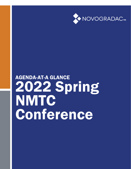

# AGENDA-AT-A GLANCE 2022 Spring **NMTC** Conference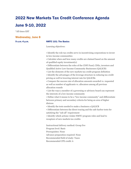## 2022 New Markets Tax Credit Conference Agenda June 9-10, 2022

\*All times EST

#### Wednesday, June 8

#### 9 a.m.-4 p.m. NMTC 101: The Basics

Learning objectives:

• Identify the role tax credits serve in incentivizing corporations to invest in low-income communities

• Calculate when and how many credits are claimed based on the amount of qualified equity investment(s)

• Differentiate between the roles of the CDFI Fund, CDEs, investors and Qualified Active Low-Income Community Businesses (QALICB)

• List the elements of the new markets tax credit program definition

• Identify the advantages of the leverage structure in reducing tax credit pricing as well in lowering interest rate for QALICBs

• Compare the success rate of allocation amounts awarded vs. requested as well as number of applicants vs. allocatees among all previous allocation rounds

• List the ways a member of a governing or advisory board can represent the interests of a low-income community

• Define what it means to be a "low-income community" and differentiate between primary and secondary criteria for being an area of higher distress

• Identify the tests needed to make a business a QALICB

• Differentiate between the direct tracing and the safe harbor tests for satisfying the "sub all" requirement

• Identify which actions violate NMTC program rules and lead to recapture of new markets tax credits

Instructional delivery method: Group live Program level: Basic Prerequisites: None Advance preparation required: None Recommended field of study: Taxes Recommended CPE credit: 6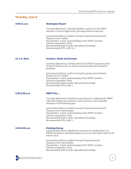### Thursday, June 9

| $9:45-11$ a.m.      | <b>Washington Report</b>                                                                                                                                                         |
|---------------------|----------------------------------------------------------------------------------------------------------------------------------------------------------------------------------|
|                     | Learning Objective(s): Identify legislative options for the NMTC<br>incentive in 2022 in light of the upcoming midterm elections                                                 |
|                     | Instructional delivery method: Group live/group internet based<br>Program Level: Update                                                                                          |
|                     | Prerequisites: A basic understanding of the NMTC incentive<br>Advance preparation: None                                                                                          |
|                     | Recommended field of study: Specialized knowledge<br>Recommended CPE credit: 1.5                                                                                                 |
|                     |                                                                                                                                                                                  |
| <b>11 a.m.-Noon</b> | <b>Investors, Equity and Success</b>                                                                                                                                             |
|                     | Learning Objective(s): Identify elements in NMTC transactions that<br>investors find attractive as well as successful elements during the<br>pandemic                            |
|                     | Instructional delivery method: Group live/group internet based                                                                                                                   |
|                     | Program Level: Update<br>Prerequisites: A basic understanding of the NMTC incentive                                                                                              |
|                     | Advance preparation: None<br>Recommended field of study: Specialized knowledge<br>Recommended CPE credit: 1                                                                      |
| 1:30-2:30 p.m.      | <b>NMTC Plus </b>                                                                                                                                                                |
|                     | Learning Objective(s): Identify best practices for combining the NMTC<br>with other federal tax incentives, state incentives, and using SBA<br>assistance to fill financing gaps |
|                     | Instructional delivery method: Group live/group internet based<br>Program Level: Intermediate                                                                                    |
|                     | Prerequisites: A basic understanding of the NMTC incentive<br>Advance preparation: None                                                                                          |
|                     | Recommended field of study: Specialized knowledge<br>Recommended CPE credit: 1                                                                                                   |
| 2:45-3:45 p.m.      | <b>Finishing Strong</b>                                                                                                                                                          |
|                     | Learning Objective(s): Identify best practices for winding down an<br>NMTC transaction, including things you can do early to get ready for the<br>end of a deal                  |
|                     | Instructional delivery method: Group live/group internet                                                                                                                         |
|                     | Program Level: Intermediate<br>Prerequisites: A basic understanding of the NMTC incentive                                                                                        |
|                     | Advance preparation: None<br>Recommended field of study: Specialized knowledge                                                                                                   |

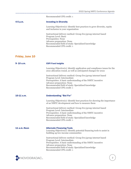|                        | 2022 Spring NMTC Conference Agenda                                                                                                                                        |
|------------------------|---------------------------------------------------------------------------------------------------------------------------------------------------------------------------|
|                        | Recommended CPE credit: 1                                                                                                                                                 |
| 4-5 p.m.               | <b>Investing in Diversity</b>                                                                                                                                             |
|                        | Learning Objective(s): Identify best practices to grow diversity, equity<br>and inclusion in your organization                                                            |
|                        | Instructional delivery method: Group live/group internet based<br>Program Level: Basic<br>Prerequisites: None                                                             |
|                        | Advance preparation: None<br>Recommended field of study: Specialized knowledge<br>Recommended CPE credit: 1                                                               |
| <b>Friday, June 10</b> |                                                                                                                                                                           |
|                        |                                                                                                                                                                           |
| $9 - 10$ a.m.          | <b>CDFI Fund Insights</b>                                                                                                                                                 |
|                        | Learning Objective(s): Identify application and compliance issues for the<br>2021 allocation round, as well as anticipated changes for 2022                               |
|                        | Instructional delivery method: Group live/group internet based<br>Program Level: Intermediate<br>Prerequisites: A basic understanding of the NMTC incentive               |
|                        | Advance preparation: None<br>Recommended field of study: Specialized knowledge<br>Recommended CPE credit: 1                                                               |
| $10-11$ a.m.           | <b>Understanding "But For"</b>                                                                                                                                            |
|                        | Learning Objective(s): Identify best practices for showing the importance<br>of an NMTC development and how to measure them                                               |
|                        | Instructional delivery method: Group live/group internet based<br>Program Level: Intermediate                                                                             |
|                        | Prerequisites: A basic understanding of the NMTC incentive<br>Advance preparation: None<br>Recommended field of study: Specialized knowledge<br>Recommended CPE credit: 1 |
| <b>11 a.m.-Noon</b>    | <b>Alternate Financing Tools</b>                                                                                                                                          |
|                        | Learning Objective(s): Identify potential financing tools to assist in<br>building up low-income communities                                                              |
|                        | Instructional delivery method: Group live/group internet based<br>Program Level: Intermediate<br>Prerequisites: A basic understanding of the NMTC incentive               |
|                        | Advance preparation: None<br>Recommended field of study: Specialized knowledge<br>Recommended CPE credit: 1                                                               |